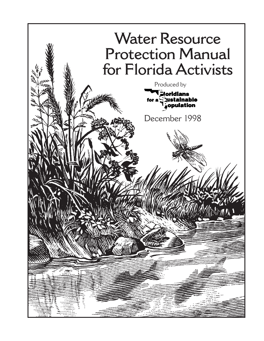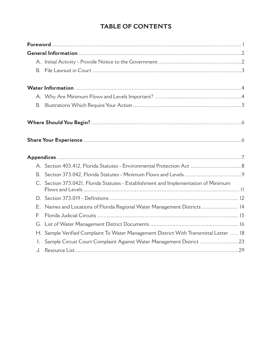## **TABLE OF CONTENTS**

| B.             |                                                                                     |  |  |
|----------------|-------------------------------------------------------------------------------------|--|--|
|                |                                                                                     |  |  |
|                |                                                                                     |  |  |
|                |                                                                                     |  |  |
|                |                                                                                     |  |  |
|                |                                                                                     |  |  |
|                |                                                                                     |  |  |
|                |                                                                                     |  |  |
|                |                                                                                     |  |  |
|                | C. Section 373.0421, Florida Statutes - Establishment and Implementation of Minimum |  |  |
|                |                                                                                     |  |  |
| Ε.             | Names and Locations of Florida Regional Water Management Districts  14              |  |  |
| E              |                                                                                     |  |  |
| G.             |                                                                                     |  |  |
| H.             | Sample Verified Complaint To Water Management District With Transmittal Letter  18  |  |  |
| $\mathbf{I}$ . | Sample Circuit Court Complaint Against Water Management District  23                |  |  |
| J.             |                                                                                     |  |  |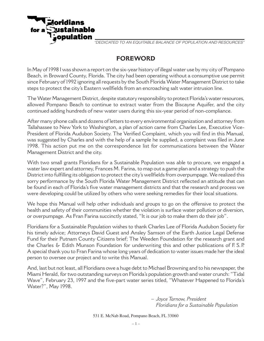

"DEDICATED TO AN EQUITABLE BALANCE OF POPULATION AND RESOURCES"

## **FOREWORD**

In May of 1998 I was shown a report on the six-year history of illegal water use by my city of Pompano Beach, in Broward County, Florida. The city had been operating without a consumptive use permit since February of 1992 ignoring all requests by the South Florida Water Management District to take steps to protect the city's Eastern wellfields from an encroaching salt water intrusion line.

The Water Management District, despite statutory responsibility to protect Florida's water resources, allowed Pompano Beach to continue to extract water from the Biscayne Aquifer, and the city continued adding hundreds of new water users during this six-year period of non-compliance.

After many phone calls and dozens of letters to every environmental organization and attorney from Tallahassee to New York to Washington, a plan of action came from Charles Lee, Executive Vice-President of Florida Audubon Society. The Verified Complaint, which you will find in this Manual, was suggested by Charles and with the help of a sample he supplied, a complaint was filed in June 1998. This action put me on the correspondence list for communications between the Water Management District and the city.

With two small grants Floridians for a Sustainable Population was able to procure, we engaged a water law expert and attorney, Frances M. Farina, to map out a game plan and a strategy to push the District into fulfilling its obligation to protect the city's wellfields from overpumpage. We realized this sorry performance by the South Florida Water Management District reflected an attitude that can be found in each of Florida's five water management districts and that the research and process we were developing could be utilized by others who were seeking remedies for their local situations.

We hope this Manual will help other individuals and groups to go on the offensive to protect the health and safety of their communities whether the violation is surface water pollution or diversion, or overpumpage. As Fran Farina succinctly stated, "It is our job to make them do their job".

Floridians for a Sustainable Population wishes to thank Charles Lee of Florida Audubon Society for his timely advice; Attorneys David Guest and Ansley Samson of the Earth Justice Legal Defense Fund for their Putnam County Citizens brief; The Weeden Foundation for the research grant and the Charles & Edith Munson Foundation for underwriting this and other publications of F. S. P. A special thank you to Fran Farina whose long years of dedication to water issues made her the ideal person to oversee our project and to write this Manual.

And, last but not least, all Floridians owe a huge debt to Michael Browning and to his newspaper, the Miami Herald, for two outstanding surveys on Florida's population growth and water crunch: "Tidal Wave", February 23, 1997 and the five-part water series titled, "Whatever Happened to Florida's Water?", May 1998.

> *– Joyce Tarnow, President Floridians for a Sustainable Population*

531 E. McNab Road, Pompano Beach, FL 33060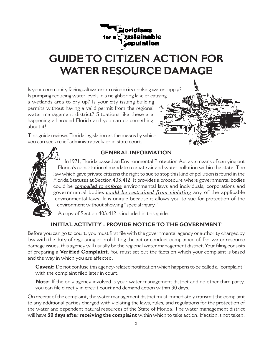# **GUIDE TO CITIZEN ACTION FOR WATER RESOURCE DAMAGE**

Is your community facing saltwater intrusion in its drinking water supply? Is pumping reducing water levels in a neighboring lake or causing a wetlands area to dry up? Is your city issuing building permits without having a valid permit from the regional water management district? Situations like these are happening all around Florida and you can do something about it!

This guide reviews Florida legislation as the means by which you can seek relief administratively or in state court.





## **GENERAL INFORMATION**

In 1971, Florida passed an Environmental Protection Act as a means of carrying out Florida's constitutional mandate to abate air and water pollution within the state. The law which gave private citizens the right to sue to stop this kind of pollution is found in the Florida Statutes at Section 403.412. It provides a procedure where governmental bodies could be *compelled to enforce* environmental laws and individuals, corporations and governmental bodies *could be restrained from violating* any of the applicable environmental laws. It is unique because it allows you to sue for protection of the environment without showing "special injury."

A copy of Section 403.412 is included in this guide.

## **INITIAL ACTIVITY - PROVIDE NOTICE TO THE GOVERNMENT**

Before you can go to court, you must first file with the governmental agency or authority charged by law with the duty of regulating or prohibiting the act or conduct complained of. For water resource damage issues, this agency will usually be the regional water management district. Your filing consists of preparing a **Verified Complaint**. You must set out the facts on which your complaint is based and the way in which you are affected.

**Caveat:** Do not confuse this agency-related notification which happens to be called a "complaint" with the complaint filed later in court.

**Note:** If the only agency involved is your water management district and no other third party, you can file directly in circuit court and demand action within 30 days.

On receipt of the complaint, the water management district must immediately transmit the complaint to any additional parties charged with violating the laws, rules, and regulations for the protection of the water and dependent natural resources of the State of Florida. The water management district will have **30 days after receiving the complaint** within which to take action. If action is not taken,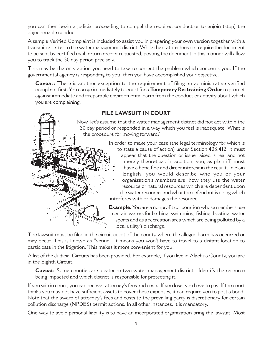you can then begin a judicial proceeding to compel the required conduct or to enjoin (stop) the objectionable conduct.

A sample Verified Complaint is included to assist you in preparing your own version together with a transmittal letter to the water management district. While the statute does not require the document to be sent by certified mail, return receipt requested, posting the document in this manner will allow you to track the 30 day period precisely.

This may be the only action you need to take to correct the problem which concerns you. If the governmental agency is responding to you, then you have accomplished your objective.

**Caveat:** There is another exception to the requirement of filing an administrative verified complaint first. You can go immediately to court for a **Temporary Restraining Order** to protect against immediate and irreparable environmental harm from the conduct or activity about which you are complaining.



## **FILE LAWSUIT IN COURT**

Now, let's assume that the water management district did not act within the 30 day period or responded in a way which you feel is inadequate. What is the procedure for moving forward?

> In order to make your case (the legal terminology for which is to state a cause of action) under Section 403.412, it must appear that the question or issue raised is real and not merely theoretical. In addition, you, as plaintiff, must have a bona fide and direct interest in the result. In plain English, you would describe who you or your organization's members are, how they use the water resource or natural resources which are dependent upon the water resource, and what the defendant is doing which

interferes with or damages the resource.

**Example:** You are a nonprofit corporation whose members use certain waters for bathing, swimming, fishing, boating, water sports and as a recreation area which are being polluted by a local utility's discharge.

The lawsuit must be filed in the circuit court of the county where the alleged harm has occurred or may occur. This is known as "venue." It means you won't have to travel to a distant location to participate in the litigation. This makes it more convenient for you.

A list of the Judicial Circuits has been provided. For example, if you live in Alachua County, you are in the Eighth Circuit.

**Caveat:** Some counties are located in two water management districts. Identify the resource being impacted and which district is responsible for protecting it.

If you win in court, you can recover attorney's fees and costs. If you lose, you have to pay. If the court thinks you may not have sufficient assets to cover these expenses, it can require you to post a bond. Note that the award of attorney's fees and costs to the prevailing party is discretionary for certain pollution discharge (NPDES) permit actions. In all other instances, it is mandatory.

One way to avoid personal liability is to have an incorporated organization bring the lawsuit. Most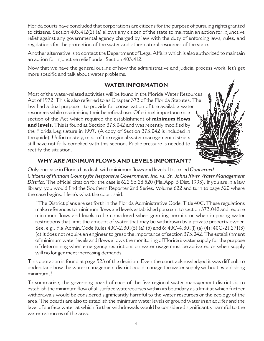Florida courts have concluded that corporations are citizens for the purpose of pursuing rights granted to citizens. Section 403.412(2) (a) allows any citizen of the state to maintain an action for injunctive relief against any governmental agency charged by law with the duty of enforcing laws, rules, and regulations for the protection of the water and other natural resources of the state.

Another alternative is to contact the Department of Legal Affairs which is also authorized to maintain an action for injunctive relief under Section 403.412.

Now that we have the general outline of how the administrative and judicial process work, let's get more specific and talk about water problems.

## **WATER INFORMATION**

Most of the water-related activities will be found in the Florida Water Resources Act of 1972. This is also referred to as Chapter 373 of the Florida Statutes. The law had a dual purpose - to provide for conservation of the available water resources while maximizing their beneficial use. Of critical importance is a section of the Act which required the establishment of **minimum flows and levels**. This is found at Section 373.042 and was recently modified by the Florida Legislature in 1997. (A copy of Section 373.042 is included in the guide). Unfortunately, most of the regional water management districts still have not fully complied with this section. Public pressure is needed to rectify the situation.



## **WHY ARE MINIMUM FLOWS AND LEVELS IMPORTANT?**

Only one case in Florida has dealt with minimum flows and levels. It is called *Concerned Citizens of Putnam County for Responsive Government. Inc. vs. St. Johns River Water Management District.* The official citation for the case is 622 So.2d 520 (Fla.App. 5 Dist. 1993). If you are in a law library, you would find the Southern Reporter 2nd Series, Volume 622 and turn to page 520 where the case begins. Here's what the court said:

"The District plans are set forth in the Florida Administrative Code, Title 40C. These regulations make references to minimum flows and levels established pursuant to section 373.042 and require minimum flows and levels to be considered when granting permits or when imposing water restrictions that limit the amount of water that may be withdrawn by a private property owner. See, e.g., Fla.Admin.Code Rules 40C-2.301(5) (a) (5) and 6; 40C-4.301(l) (a) (4); 40C-21.271(3) (c) It does not require an engineer to grasp the importance of section 373.042. The establishment of minimum water levels and flows allows the monitoring of Florida's water supply for the purpose of determining when emergency restrictions on water usage must be activated or when supply will no longer meet increasing demands."

This quotation is found at page 523 of the decision. Even the court acknowledged it was difficult to understand how the water management district could manage the water supply without establishing minimums!

To summarize, the governing board of each of the five regional water management districts is to establish the minimum flow of all surface watercourses within its boundary as a limit at which further withdrawals would be considered significantly harmful to the water resources or the ecology of the area. The boards are also to establish the minimum water levels of ground water in an aquifer and the level of surface water at which further withdrawals would be considered significantly harmful to the water resources of the area.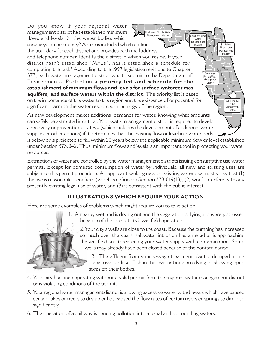Do you know if your regional water management district has established minimum flows and levels for the water bodies which service your community? A map is included which outlines the boundary for each district and provides each mail address and telephone number. Identify the district in which you reside. If your district hasn't established "MFLs", has it established a schedule for completing the task? According to the 1997 legislative revisions to Chapter 373, each water management district was to submit to the Department of Environmental Protection **a priority list and schedule for the establishment of minimum flows and levels for surface watercourses, aquifers, and surface waters within the district.** The priority list is based on the importance of the water to the region and the existence of or potential for significant harm to the water resources or ecology of the region. As new development makes additional demands for water, knowing what amounts Northwest Florida Water Management District Swannee River Water Management<br>District St. Johns River Water Management District Southwest Florida Water Management **District** South Florida water<br>Water Management District

can safely be extracted is critical. Your water management district is required to develop a recovery or prevention strategy (which includes the development of additional water supplies or other actions) if it determines that the existing flow or level in a water body is below or is projected to fall within 20 years below the applicable minimum flow or level established under Section 373.042. Thus, minimum flows and levels is an important tool in protecting your water resources.

Extractions of water are controlled by the water management districts issuing consumptive use water permits. Except for domestic consumption of water by individuals, all new and existing uses are subject to this permit procedure. An applicant seeking new or existing water use must show that (1) the use is reasonable-beneficial (which is defined in Section 373.019(13), (2) won't interfere with any presently existing legal use of water, and (3) is consistent with the public interest.

## **ILLUSTRATIONS WHICH REQUIRE YOUR ACTION**

Here are some examples of problems which might require you to take action:

- 
- 1. A nearby wetland is drying out and the vegetation is dying or severely stressed because of the local utility's wellfield operations.

2. Your city's wells are close to the coast. Because the pumping has increased so much over the years, saltwater intrusion has entered or is approaching the wellfield and threatening your water supply with contamination. Some wells may already have been closed because of the contamination.

3. The effluent from your sewage treatment plant is dumped into a local river or lake. Fish in that water body are dying or showing open sores on their bodies.

- 4. Your city has been operating without a valid permit from the regional water management district or is violating conditions of the permit.
- 5. Your regional water management district is allowing excessive water withdrawals which have caused certain lakes or rivers to dry up or has caused the flow rates of certain rivers or springs to diminish significantly.
- 6. The operation of a spillway is sending pollution into a canal and surrounding waters.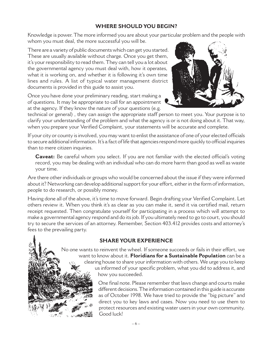## **WHERE SHOULD YOU BEGIN?**

Knowledge is power. The more informed you are about your particular problem and the people with whom you must deal, the more successful you will be.

There are a variety of public documents which can get you started. These are usually available without charge. Once you get them, it's your responsibility to read them. They can tell you a lot about the governmental agency you must deal with, how it operates, what it is working on, and whether it is following it's own time lines and rules. A list of typical water management district documents is provided in this guide to assist you.

Once you have done your preliminary reading, start making a of questions. It may be appropriate to call for an appointment at the agency. If they know the nature of your questions (e.g.



technical or general) , they can assign the appropriate staff person to meet you. Your purpose is to clarify your understanding of the problem and what the agency is or is not doing about it. That way, when you prepare your Verified Complaint, your statements will be accurate and complete.

If your city or county is involved, you may want to enlist the assistance of one of your elected officials to secure additional information. It's a fact of life that agencies respond more quickly to official inquiries than to mere citizen inquiries.

**Caveat:** Be careful whom you select. If you are not familiar with the elected official's voting record, you may be dealing with an individual who can do more harm than good as well as waste your time.

Are there other individuals or groups who would be concerned about the issue if they were informed about it? Networking can develop additional support for your effort, either in the form of information, people to do research, or possibly money.

Having done all of the above, it's time to move forward. Begin drafting your Verified Complaint. Let others review it. When you think it's as clear as you can make it, send it via certified mail, return receipt requested. Then congratulate yourself for participating in a process which will attempt to make a governmental agency respond and do its job. If you ultimately need to go to court, you should try to secure the services of an attorney. Remember, Section 403.412 provides costs and attorney's fees to the prevailing party.

## **SHARE YOUR EXPERIENCE**

No one wants to reinvent the wheel. If someone succeeds or fails in their effort, we want to know about it. **Floridians for a Sustainable Population** can be a clearing house to share your information with others. We urge you to keep us informed of your specific problem, what you did to address it, and how you succeeded.

> One final note. Please remember that laws change and courts make different decisions. The information contained in this guide is accurate as of October 1998. We have tried to provide the "big picture" and direct you to key laws and cases. Now you need to use them to protect resources and existing water users in your own community. Good luck!

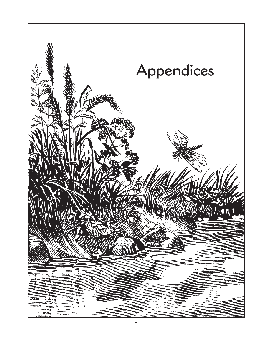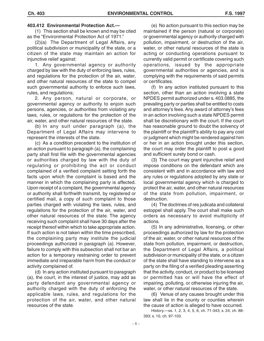#### **403.412 Environmental Protection Act.—**

(1) This section shall be known and may be cited as the "Environmental Protection Act of 1971."

(2)(a) The Department of Legal Affairs, any political subdivision or municipality of the state, or a citizen of the state may maintain an action for injunctive relief against:

1. Any governmental agency or authority charged by law with the duty of enforcing laws, rules, and regulations for the protection of the air, water, and other natural resources of the state to compel such governmental authority to enforce such laws, rules, and regulations;

2. Any person, natural or corporate, or governmental agency or authority to enjoin such persons, agencies, or authorities from violating any laws, rules, or regulations for the protection of the air, water, and other natural resources of the state.

(b) In any suit under paragraph (a), the Department of Legal Affairs may intervene to represent the interests of the state.

(c) As a condition precedent to the institution of an action pursuant to paragraph (a), the complaining party shall first file with the governmental agencies or authorities charged by law with the duty of regulating or prohibiting the act or conduct complained of a verified complaint setting forth the facts upon which the complaint is based and the manner in which the complaining party is affected. Upon receipt of a complaint, the governmental agency or authority shall forthwith transmit, by registered or certified mail, a copy of such complaint to those parties charged with violating the laws, rules, and regulations for the protection of the air, water, and other natural resources of the state. The agency receiving such complaint shall have 30 days after the receipt thereof within which to take appropriate action. If such action is not taken within the time prescribed, the complaining party may institute the judicial proceedings authorized in paragraph (a). However, failure to comply with this subsection shall not bar an action for a temporary restraining order to prevent immediate and irreparable harm from the conduct or activity complained of.

(d) In any action instituted pursuant to paragraph (a), the court, in the interest of justice, may add as party defendant any governmental agency or authority charged with the duty of enforcing the applicable laws, rules, and regulations for the protection of the air, water, and other natural resources of the state.

(e) No action pursuant to this section may be maintained if the person (natural or corporate) or governmental agency or authority charged with pollution, impairment, or destruction of the air, water, or other natural resources of the state is acting or conducting operations pursuant to currently valid permit or certificate covering such operations, issued by the appropriate governmental authorities or agencies, and is complying with the requirements of said permits or certificates.

(f) In any action instituted pursuant to this section, other than an action involving a state NPDES permit authorized under s. 403.0885, the prevailing party or parties shall be entitled to costs and attorney's fees. Any award of attorney's fees in an action involving such a state NPDES permit shall be discretionary with the court. If the court has reasonable ground to doubt the solvency of the plaintiff or the plaintiff's ability to pay any cost or judgment which might be rendered against him or her in an action brought under this section, the court may order the plaintiff to post a good and sufficient surety bond or cash.

(3) The court may grant injunctive relief and impose conditions on the defendant which are consistent with and in accordance with law and any rules or regulations adopted by any state or local governmental agency which is charged to protect the air, water, and other natural resources of the state from pollution, impairment, or destruction.

(4) The doctrines of res judicata and collateral estoppel shall apply. The court shall make such orders as necessary to avoid multiplicity of actions.

(5) In any administrative, licensing, or other proceedings authorized by law for the protection of the air, water, or other natural resources of the state from pollution, impairment, or destruction, the Department of Legal Affairs, a political subdivision or municipality of the state, or a citizen of the state shall have standing to intervene as a party on the filing of a verified pleading asserting that the activity, conduct, or product to be licensed or permitted has or will have the effect of impairing, polluting, or otherwise injuring the air, water, or other natural resources of the state.

(6) Venue of any causes brought under this law shall lie in the county or counties wherein the cause of action is alleged to have occurred.

History.—ss. 1, 2, 3, 4, 5, 6, ch. 71-343; s. 24, ch. 88- 393; s. 10, ch. 97-103.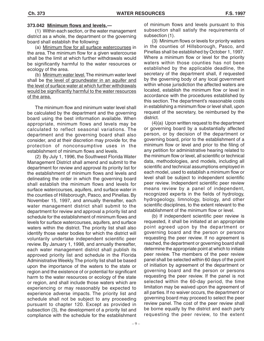#### **373.042 Minimum flows and levels.—**

(1) Within each section, or the water management district as a whole, the department or the governing board shall establish the following:

(a) Minimum flow for all surface watercourses in the area. The minimum flow for a given watercourse shall be the limit at which further withdrawals would be significantly harmful to the water resources or ecology of the area.

(b) Minimum water level. The minimum water level shall be the level of groundwater in an aquifer and the level of surface water at which further withdrawals would be significantly harmful to the water resources of the area.

The minimum flow and minimum water level shall be calculated by the department and the governing board using the best information available. When appropriate, minimum flows and levels may be calculated to reflect seasonal variations. The department and the governing board shall also consider, and at their discretion may provide for, the protection of nonconsumptive uses in the establishment of minimum flows and levels.

(2) By July 1, 1996, the Southwest Florida Water Management District shall amend and submit to the department for review and approval its priority list for the establishment of minimum flows and levels and delineating the order in which the governing board shall establish the minimum flows and levels for surface watercourses, aquifers, and surface water in the counties of Hillsborough, Pasco, and Pinellas. By November 15, 1997, and annually thereafter, each water management district shall submit to the department for review and approval a priority list and schedule for the establishment of minimum flows and levels for surface watercourses, aquifers, and surface waters within the district. The priority list shall also identify those water bodies for which the district will voluntarily undertake independent scientific peer review. By January 1, 1998, and annually thereafter, each water management district shall publish its approved priority list and schedule in the Florida Administrative Weekly. The priority list shall be based upon the importance of the waters to the state or region and the existence of or potential for significant harm to the water resources or ecology of the state or region, and shall include those waters which are experiencing or may reasonably be expected to experience adverse impacts. The priority list and schedule shall not be subject to any proceeding pursuant to chapter 120. Except as provided in subsection (3), the development of a priority list and compliance with the schedule for the establishment of minimum flows and levels pursuant to this subsection shall satisfy the requirements of subsection (1).

(3) Minimum flows or levels for priority waters in the counties of Hillsborough, Pasco, and Pinellas shall be established by October 1, 1997. Where a minimum flow or level for the priority waters within those counties has not been established by the applicable deadline, the secretary of the department shall, if requested by the governing body of any local government within whose jurisdiction the affected waters are located, establish the minimum flow or level in accordance with the procedures established by this section. The department's reasonable costs in establishing a minimum flow or level shall, upon request of the secretary, be reimbursed by the district.

(4)(a) Upon written request to the department or governing board by a substantially affected person, or by decision of the department or governing board, prior to the establishment of a minimum flow or level and prior to the filing of any petition for administrative hearing related to the minimum flow or level, all scientific or technical data, methodologies, and models, including all scientific and technical assumptions employed in each model, used to establish a minimum flow or level shall be subject to independent scientific peer review. Independent scientific peer review means review by a panel of independent, recognized experts in the fields of hydrology, hydrogeology, limnology, biology, and other scientific disciplines, to the extent relevant to the establishment of the minimum flow or level.

(b) If independent scientific peer review is requested, it shall be initiated at an appropriate point agreed upon by the department or governing board and the person or persons requesting the peer review. If no agreement is reached, the department or governing board shall determine the appropriate point at which to initiate peer review. The members of the peer review panel shall be selected within 60 days of the point of initiation by agreement of the department or governing board and the person or persons requesting the peer review. If the panel is not selected within the 60-day period, the time limitation may be waived upon the agreement of all parties. If no waiver occurs, the department or governing board may proceed to select the peer review panel. The cost of the peer review shall be borne equally by the district and each party requesting the peer review, to the extent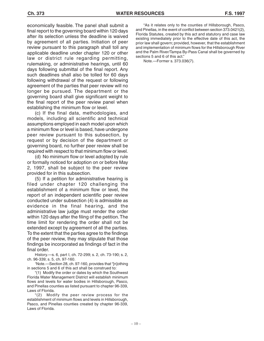economically feasible. The panel shall submit a final report to the governing board within 120 days after its selection unless the deadline is waived by agreement of all parties. Initiation of peer review pursuant to this paragraph shall toll any applicable deadline under chapter 120 or other law or district rule regarding permitting, rulemaking, or administrative hearings, until 60 days following submittal of the final report. Any such deadlines shall also be tolled for 60 days following withdrawal of the request or following agreement of the parties that peer review will no longer be pursued. The department or the governing board shall give significant weight to the final report of the peer review panel when establishing the minimum flow or level.

(c) If the final data, methodologies, and models, including all scientific and technical assumptions employed in each model upon which a minimum flow or level is based, have undergone peer review pursuant to this subsection, by request or by decision of the department or governing board, no further peer review shall be required with respect to that minimum flow or level.

(d) No minimum flow or level adopted by rule or formally noticed for adoption on or before May 2, 1997, shall be subject to the peer review provided for in this subsection.

(5) If a petition for administrative hearing is filed under chapter 120 challenging the establishment of a minimum flow or level, the report of an independent scientific peer review conducted under subsection (4) is admissible as evidence in the final hearing, and the administrative law judge must render the order within 120 days after the filing of the petition. The time limit for rendering the order shall not be extended except by agreement of all the parties. To the extent that the parties agree to the findings of the peer review, they may stipulate that those findings be incorporated as findings of fact in the final order.

History.—s. 6, part I, ch. 72-299; s. 2, ch. 73-190; s. 2, ch. 96-339; s. 5, ch. 97-160.

1 Note.—Section 28, ch. 97-160, provides that "[n]othing in sections 5 and 6 of this act shall be construed to:

"(1) Modify the order or dates by which the Southwest Florida Water Management District will establish minimum flows and levels for water bodies in Hillsborough, Pasco, and Pinellas counties as listed pursuant to chapter 96-339, Laws of Florida.

"(2) Modify the peer review process for the establishment of minimum flows and levels in Hillsborough, Pasco, and Pinellas counties created by chapter 96-339, Laws of Florida.

"As it relates only to the counties of Hillsborough, Pasco, and Pinellas, in the event of conflict between section 373.0421(2), Florida Statutes, created by this act and statutory and case law existing immediately prior to the effective date of this act, the prior law shall govern; provided, however, that the establishment and implementation of minimum flows for the Hillsborough River and the Palm River/Tampa By-Pass Canal shall be governed by sections 5 and 6 of this act."

Note.—Former s. 373.036(7).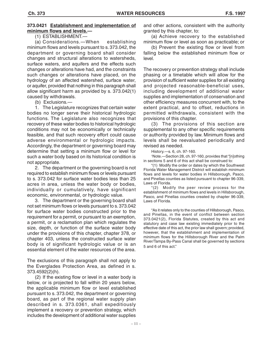#### **373.0421 Establishment and implementation of minimum flows and levels.—**

(1) ESTABLISHMENT.—

(a) Considerations.—When establishing minimum flows and levels pursuant to s. 373.042, the department or governing board shall consider changes and structural alterations to watersheds, surface waters, and aquifers and the effects such changes or alterations have had, and the constraints such changes or alterations have placed, on the hydrology of an affected watershed, surface water, or aquifer, provided that nothing in this paragraph shall allow significant harm as provided by s. 373.042(1) caused by withdrawals.

(b) Exclusions.—

1. The Legislature recognizes that certain water bodies no longer serve their historical hydrologic functions. The Legislature also recognizes that recovery of these water bodies to historical hydrologic conditions may not be economically or technically feasible, and that such recovery effort could cause adverse environmental or hydrologic impacts. Accordingly, the department or governing board may determine that setting a minimum flow or level for such a water body based on its historical condition is not appropriate.

2. The department or the governing board is not required to establish minimum flows or levels pursuant to s. 373.042 for surface water bodies less than 25 acres in area, unless the water body or bodies, individually or cumulatively, have significant economic, environmental, or hydrologic value.

3. The department or the governing board shall not set minimum flows or levels pursuant to s. 373.042 for surface water bodies constructed prior to the requirement for a permit, or pursuant to an exemption, a permit, or a reclamation plan which regulates the size, depth, or function of the surface water body under the provisions of this chapter, chapter 378, or chapter 403, unless the constructed surface water body is of significant hydrologic value or is an essential element of the water resources of the area.

The exclusions of this paragraph shall not apply to the Everglades Protection Area, as defined in s. 373.4592(2)(h).

(2) If the existing flow or level in a water body is below, or is projected to fall within 20 years below, the applicable minimum flow or level established pursuant to s. 373.042, the department or governing board, as part of the regional water supply plan described in s. 373.0361, shall expeditiously implement a recovery or prevention strategy, which includes the development of additional water supplies

and other actions, consistent with the authority granted by this chapter, to:

(a) Achieve recovery to the established minimum flow or level as soon as practicable; or

(b) Prevent the existing flow or level from falling below the established minimum flow or level.

The recovery or prevention strategy shall include phasing or a timetable which will allow for the provision of sufficient water supplies for all existing and projected reasonable-beneficial uses, including development of additional water supplies and implementation of conservation and other efficiency measures concurrent with, to the extent practical, and to offset, reductions in permitted withdrawals, consistent with the provisions of this chapter.

(3) The provisions of this section are supplemental to any other specific requirements or authority provided by law. Minimum flows and levels shall be reevaluated periodically and revised as needed.

History.—s. 6, ch. 97-160.

1 Note.—Section 28, ch. 97-160, provides that "[n]othing in sections 5 and 6 of this act shall be construed to:

"(1) Modify the order or dates by which the Southwest Florida Water Management District will establish minimum flows and levels for water bodies in Hillsborough, Pasco, and Pinellas counties as listed pursuant to chapter 96-339, Laws of Florida.

"(2) Modify the peer review process for the establishment of minimum flows and levels in Hillsborough, Pasco, and Pinellas counties created by chapter 96-339, Laws of Florida.

"As it relates only to the counties of Hillsborough, Pasco, and Pinellas, in the event of conflict between section 373.0421(2), Florida Statutes, created by this act and statutory and case law existing immediately prior to the effective date of this act, the prior law shall govern; provided, however, that the establishment and implementation of minimum flows for the Hillsborough River and the Palm River/Tampa By-Pass Canal shall be governed by sections 5 and 6 of this act."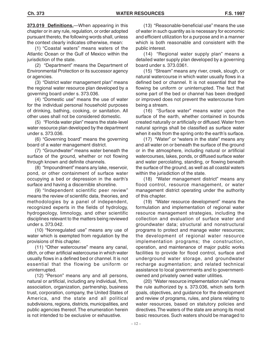**373.019 Definitions.**—When appearing in this chapter or in any rule, regulation, or order adopted pursuant thereto, the following words shall, unless the context clearly indicates otherwise, mean:

(1) "Coastal waters" means waters of the Atlantic Ocean or the Gulf of Mexico within the jurisdiction of the state.

(2) "Department" means the Department of Environmental Protection or its successor agency or agencies.

(3) "District water management plan" means the regional water resource plan developed by a governing board under s. 373.036.

(4) "Domestic use" means the use of water for the individual personal household purposes of drinking, bathing, cooking, or sanitation. All other uses shall not be considered domestic.

(5) "Florida water plan" means the state-level water resource plan developed by the department under s. 373.036.

(6) "Governing board" means the governing board of a water management district.

(7) "Groundwater" means water beneath the surface of the ground, whether or not flowing through known and definite channels.

(8) "Impoundment" means any lake, reservoir, pond, or other containment of surface water occupying a bed or depression in the earth's surface and having a discernible shoreline.

(9) "Independent scientific peer review" means the review of scientific data, theories, and methodologies by a panel of independent, recognized experts in the fields of hydrology, hydrogeology, limnology, and other scientific disciplines relevant to the matters being reviewed under s. 373.042.

(10) "Nonregulated use" means any use of water which is exempted from regulation by the provisions of this chapter.

(11) "Other watercourse" means any canal, ditch, or other artificial watercourse in which water usually flows in a defined bed or channel. It is not essential that the flowing be uniform or uninterrupted.

(12) "Person" means any and all persons, natural or artificial, including any individual, firm, association, organization, partnership, business trust, corporation, company, the United States of America, and the state and all political subdivisions, regions, districts, municipalities, and public agencies thereof. The enumeration herein is not intended to be exclusive or exhaustive.

(13) "Reasonable-beneficial use" means the use of water in such quantity as is necessary for economic and efficient utilization for a purpose and in a manner which is both reasonable and consistent with the public interest.

(14) "Regional water supply plan" means a detailed water supply plan developed by a governing board under s. 373.0361.

(15) "Stream" means any river, creek, slough, or natural watercourse in which water usually flows in a defined bed or channel. It is not essential that the flowing be uniform or uninterrupted. The fact that some part of the bed or channel has been dredged or improved does not prevent the watercourse from being a stream.

(16) "Surface water" means water upon the surface of the earth, whether contained in bounds created naturally or artificially or diffused. Water from natural springs shall be classified as surface water when it exits from the spring onto the earth's surface.

(17) "Water" or "waters in the state" means any and all water on or beneath the surface of the ground or in the atmosphere, including natural or artificial watercourses, lakes, ponds, or diffused surface water and water percolating, standing, or flowing beneath the surface of the ground, as well as all coastal waters within the jurisdiction of the state.

(18) "Water management district" means any flood control, resource management, or water management district operating under the authority of this chapter.

(19) "Water resource development" means the formulation and implementation of regional water resource management strategies, including the collection and evaluation of surface water and groundwater data; structural and nonstructural programs to protect and manage water resources; the development of regional water resource implementation programs; the construction, operation, and maintenance of major public works facilities to provide for flood control, surface and underground water storage, and groundwater recharge augmentation; and related technical assistance to local governments and to governmentowned and privately owned water utilities.

(20) "Water resource implementation rule" means the rule authorized by s. 373.036, which sets forth goals, objectives, and guidance for the development and review of programs, rules, and plans relating to water resources, based on statutory policies and directives. The waters of the state are among its most basic resources. Such waters should be managed to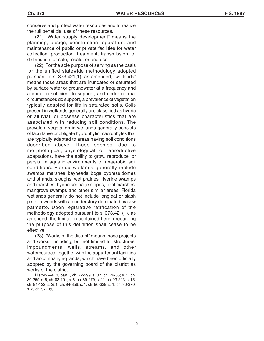(21) "Water supply development" means the planning, design, construction, operation, and maintenance of public or private facilities for water collection, production, treatment, transmission, or distribution for sale, resale, or end use.

(22) For the sole purpose of serving as the basis for the unified statewide methodology adopted pursuant to s. 373.421(1), as amended, "wetlands" means those areas that are inundated or saturated by surface water or groundwater at a frequency and a duration sufficient to support, and under normal circumstances do support, a prevalence of vegetation typically adapted for life in saturated soils. Soils present in wetlands generally are classified as hydric or alluvial, or possess characteristics that are associated with reducing soil conditions. The prevalent vegetation in wetlands generally consists of facultative or obligate hydrophytic macrophytes that are typically adapted to areas having soil conditions described above. These species, due to morphological, physiological, or reproductive adaptations, have the ability to grow, reproduce, or persist in aquatic environments or anaerobic soil conditions. Florida wetlands generally include swamps, marshes, bayheads, bogs, cypress domes and strands, sloughs, wet prairies, riverine swamps and marshes, hydric seepage slopes, tidal marshes, mangrove swamps and other similar areas. Florida wetlands generally do not include longleaf or slash pine flatwoods with an understory dominated by saw palmetto. Upon legislative ratification of the methodology adopted pursuant to s. 373.421(1), as amended, the limitation contained herein regarding the purpose of this definition shall cease to be effective.

(23) "Works of the district" means those projects and works, including, but not limited to, structures, impoundments, wells, streams, and other watercourses, together with the appurtenant facilities and accompanying lands, which have been officially adopted by the governing board of the district as works of the district.

History.—s. 3, part I, ch. 72-299; s. 37, ch. 79-65; s. 1, ch. 80-259; s. 5, ch. 82-101; s. 6, ch. 89-279; s. 21, ch. 93-213; s. 15, ch. 94-122; s. 251, ch. 94-356; s. 1, ch. 96-339; s. 1, ch. 96-370; s. 2, ch. 97-160.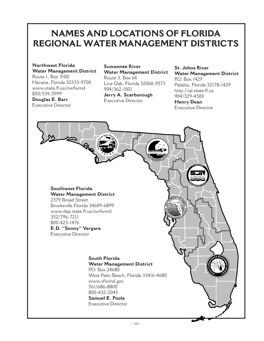## **NAMES AND LOCATIONS OF FLORIDA REGIONAL WATER MANAGEMENT DISTRICTS**

**Northwest Florida Water Management District** Route 1, Box 3100

Havana, Florida 32333-9700 www.state.fl.us/nwfwmd 850/539-5999

**Douglas E. Barr** Executive Director

### **Suwannee River Water Management District** Route 3, Box 64 Live Oak, Florida 32060-9573 904/362-1001 **Jerry A. Scarborough** Executive Director

**St. Johns River Water Management District** P.O. Box 1429 Palatka, Florida 32178-1429 http://sjr.state.fl.us 904/329-4500 **Henry Dean** Executive Director

**Southwest Florida Water Management District**

2379 Broad Street Brooksville Florida 34609-6899 www.dep.state.fl.us/swfwmd 352/796-7211 800-423-1476 **E.D. "Sonny" Vergara** Executive Director

#### **South Florida Water Management District**

P.O. Box 24680 West Palm Beach, Florida 33416-4680 www.sfwmd.gov 561/686-8800 800-432-2045 **Samuel E. Poole**

Executive Director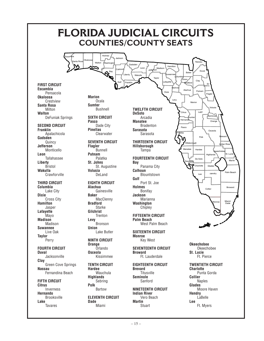

**FIRST CIRCUIT Escambia** Pensacola **Okaloosa Crestview Santa Rosa** Milton **Walton**

**SECOND CIRCUIT Franklin** Apalachicola **Gadsden Quincy Jefferson** Monticello **Leon** Tallahassee **Liberty** Bristol **Wakulla Crawforville** 

**THIRD CIRCUIT Columbia** Lake City **Dixie** Cross City **Hamilton** Jasper **Lafayette** Mayo **Madison** Madison **Suwannee** Live Oak **Taylor** Perry

**FOURTH CIRCUIT Duval** Jacksonville **Clay** Green Cove Springs **Nassau** Fernandina Beach

**FIFTH CIRCUIT Citrus** Inverness **Hernando** Brooksville **Lake** Tavares

 $-15-$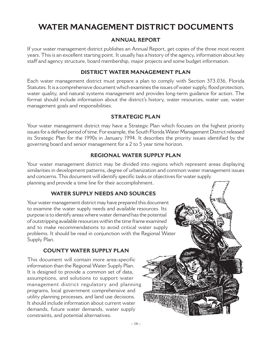## **WATER MANAGEMENT DISTRICT DOCUMENTS**

## **ANNUAL REPORT**

If your water management district publishes an Annual Report, get copies of the three most recent years. This is an excellent starting point. It usually has a history of the agency, information about key staff and agency structure, board membership, major projects and some budget information.

## **DISTRICT WATER MANAGEMENT PLAN**

Each water management district must prepare a plan to comply with Section 373.036, Florida Statutes. It is a comprehensive document which examines the issues of water supply, flood protection, water quality, and natural systems management and provides long-term guidance for action. The format should include information about the district's history, water resources, water use, water management goals and responsibilities.

## **STRATEGIC PLAN**

Your water management district may have a Strategic Plan which focuses on the highest priority issues for a defined period of time. For example, the South Florida Water Management District released its Strategic Plan for the 1990s in January 1994. It describes the priority issues identified by the governing board and senior management for a 2 to 5 year time horizon.

## **REGIONAL WATER SUPPLY PLAN**

Your water management district may be divided into regions which represent areas displaying similarities in development patterns, degree of urbanization and common water management issues and concerns. This document will identify specific tasks or objectives for water supply planning and provide a time line for their accomplishment.

## **WATER SUPPLY NEEDS AND SOURCES**

Your water management district may have prepared this document to examine the water supply needs and available resources. Its purpose is to identify areas where water demand has the potential of outstripping available resources within the time frame examined and to make recommendations to avoid critical water supply problems. It should be read in conjunction with the Regional Water Supply Plan.

## **COUNTY WATER SUPPLY PLAN**

This document will contain more area-specific information than the Regional Water Supply Plan. It is designed to provide a common set of data, assumptions, and solutions to support water management district regulatory and planning programs, local government comprehensive and utility planning processes, and land use decisions. It should include information about current water demands, future water demands, water supply constraints, and potential alternatives.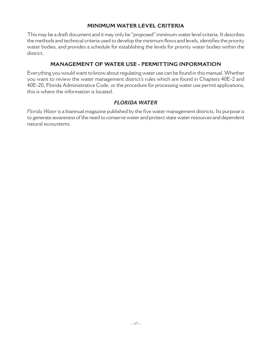## **MINIMUM WATER LEVEL CRITERIA**

This may be a draft document and it may only be "proposed" minimum water level criteria. It describes the methods and technical criteria used to develop the minimum flows and levels, identifies the priority water bodies, and provides a schedule for establishing the levels for priority water bodies within the district.

## **MANAGEMENT OF WATER USE - PERMITTING INFORMATION**

Everything you would want to know about regulating water use can be found in this manual. Whether you want to review the water management district's rules which are found in Chapters 40E-2 and 40E-20, Florida Administrative Code, or the procedure for processing water use permit applications, this is where the information is located.

## *FLORIDA WATER*

*Florida Water* is a biannual magazine published by the five water management districts. Its purpose is to generate awareness of the need to conserve water and protect state water resources and dependent natural ecosystems.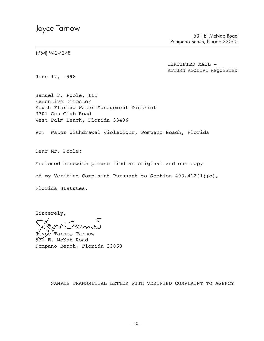531 E. McNab Road Pompano Beach, Florida 33060

(954) 942-7278

CERTIFIED MAIL -RETURN RECEIPT REQUESTED

June 17, 1998

Samuel F. Poole, III Executive Director South Florida Water Management District 3301 Gun Club Road West Palm Beach, Florida 33406

Re: Water Withdrawal Violations, Pompano Beach, Florida

Dear Mr. Poole:

Enclosed herewith please find an original and one copy

of my Verified Complaint Pursuant to Section 403.412(1)(c),

Florida Statutes.

Sincerely,

Tarnow Tarnow 531 E. McNab Road Pompano Beach, Florida 33060

SAMPLE TRANSMITTAL LETTER WITH VERIFIED COMPLAINT TO AGENCY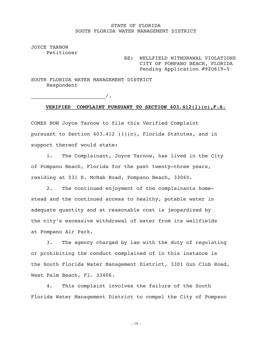#### STATE OF FLORIDA SOUTH FLORIDA WATER MANAGEMENT DISTRICT

JOYCE TARNOW Petitioner

> RE: WELLFIELD WITHDRAWAL VIOLATIONS CITY OF POMPANO BEACH, FLORIDA Pending Application #92O619-5

SOUTH FLORIDA WATER MANAGEMENT DISTRICT Respondent

 $\overline{\phantom{a}}$   $\overline{\phantom{a}}$   $\overline{\phantom{a}}$   $\overline{\phantom{a}}$ 

#### **VERIFIED COMPLAINT PURSUANT TO SECTION 403.412(1)(c),F.S.**

COMES NOW Joyce Tarnow to file this Verified Complaint pursuant to Section  $403.412$  (1)(c), Florida Statutes, and in support thereof would state:

1. The Complainant, Joyce Tarnow, has lived in the City of Pompano Beach, Florida for the past twenty—three years, residing at 531 E. McNab Road, Pompano Beach, 33060.

2. The continued enjoyment of the complainants homestead and the continued access to healthy, potable water in adequate quantity and at reasonable cost is jeopardized by the city's excessive withdrawal of water from its wellfields at Pompano Air Park.

3. The agency charged by law with the duty of regulating or prohibiting the conduct complained of in this instance is the South Florida Water Management District, 3301 Gun Club Road, West Palm Beach, Fl. 33406.

4. This complaint involves the failure of the South Florida Water Management District to compel the City of Pompano

– 19 –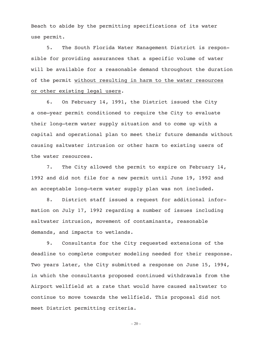Beach to abide by the permitting specifications of its water use permit.

5. The South Florida Water Management District is responsible for providing assurances that a specific volume of water will be available for a reasonable demand throughout the duration of the permit without resulting in harm to the water resources or other existing legal users.

6. On February 14, 1991, the District issued the City a one—year permit conditioned to require the City to evaluate their long—term water supply situation and to come up with a capital and operational plan to meet their future demands without causing saltwater intrusion or other harm to existing users of the water resources.

7. The City allowed the permit to expire on February 14, 1992 and did not file for a new permit until June 19, 1992 and an acceptable long—term water supply plan was not included.

8. District staff issued a request for additional information on July 17, 1992 regarding a number of issues including saltwater intrusion, movement of contaminants, reasonable demands, and impacts to wetlands.

9. Consultants for the City requested extensions of the deadline to complete computer modeling needed for their response. Two years later, the City submitted a response on June 15, 1994, in which the consultants proposed continued withdrawals from the Airport wellfield at a rate that would have caused saltwater to continue to move towards the wellfield. This proposal did not meet District permitting criteria.

 $-20-$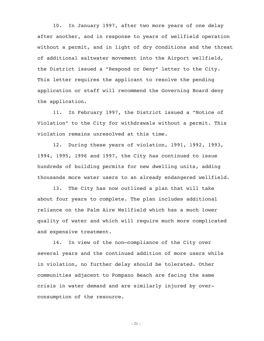10. In January 1997, after two more years of one delay after another, and in response to years of wellfield operation without a permit, and in light of dry conditions and the threat of additional saltwater movement into the Airport wellfield, the District issued a "Respond or Deny" letter to the City. This letter requires the applicant to resolve the pending application or staff will recommend the Governing Board deny the application.

11. In February 1997, the District issued a "Notice of Violation" to the City for withdrawals without a permit. This violation remains unresolved at this time.

12. During these years of violation, 1991, 1992, 1993, 1994, 1995, 1996 and 1997, the City has continued to issue hundreds of building permits for new dwelling units, adding thousands more water users to an already endangered wellfield.

13. The City has now outlined a plan that will take about four years to complete. The plan includes additional reliance on the Palm Aire Wellfield which has a much lower quality of water and which will require much more complicated and expensive treatment.

14. In view of the non—compliance of the City over several years and the continued addition of more users while in violation, no further delay should be tolerated. Other communities adjacent to Pompano Beach are facing the same crisis in water demand and are similarly injured by overconsumption of the resource.

 $-21-$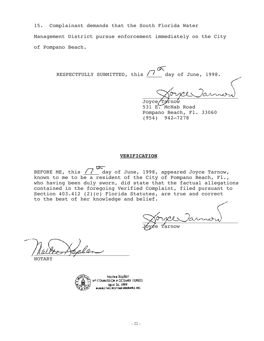15. Complainant demands that the South Florida Water

Management District pursue enforcement immediately on the City of Pompano Beach.

Œ RESPECTFULLY SUBMITTED, this  $\sqrt{7}$  day of June, 1998.

Joyce, 531 E. McNab Road Pompano Beach, Fl. 33060 (954) 942—7278

#### **VERIFICATION**

BEFORE ME, this  $\sqrt{7}$  day of June, 1998, appeared Joyce Tarnow, known to me to be a resident of the City of Pompano Beach, Fl., who having been duly sworn, did state that the factual allegations contained in the foregoing Verified Complaint, filed pursuant to Section 403.412 (2)(c) Florida Statutes, are true and correct to the best of her knowledge and belief.

Jóyce Tarnow

NOTARY



Marlee Kaplan COMMISSION # CC724409 EXPIRES April 26, 1999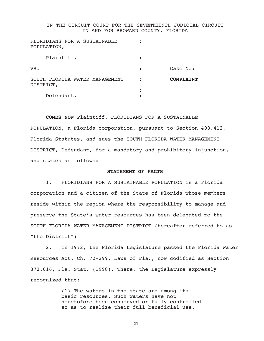#### IN THE CIRCUIT COURT FOR THE SEVENTEENTH JUDICIAL CIRCUIT IN AND FOR BROWARD COUNTY, FLORIDA

| FLORIDIANS FOR A SUSTAINABLE<br>POPULATION, |   |           |
|---------------------------------------------|---|-----------|
| Plaintiff,                                  |   |           |
| VS.                                         | : | Case No:  |
| SOUTH FLORIDA WATER MANAGEMENT<br>DISTRICT, |   | COMPLAINT |
| Defendant.                                  |   |           |
|                                             |   |           |

#### **COMES NOW** Plaintiff, FLORIDIANS FOR A SUSTAINABLE

POPULATION, a Florida corporation, pursuant to Section 403.412, Florida Statutes, and sues the SOUTH FLORIDA WATER MANAGEMENT DISTRICT, Defendant, for a mandatory and prohibitory injunction, and states as follows:

#### **STATEMENT OF FACTS**

1. FLORIDIANS FOR A SUSTAINABLE POPULATION is a Florida corporation and a citizen of the State of Florida whose members reside within the region where the responsibility to manage and preserve the State's water resources has been delegated to the SOUTH FLORIDA WATER MANAGEMENT DISTRICT (hereafter referred to as "the District")

2. In 1972, the Florida Legislature passed the Florida Water Resources Act. Ch. 72-299, Laws of Fla., now codified as Section 373.016, Fla. Stat. (1998). There, the Legislature expressly recognized that:

> (1) The waters in the state are among its basic resources. Such waters have not heretofore been conserved or fully controlled so as to realize their full beneficial use.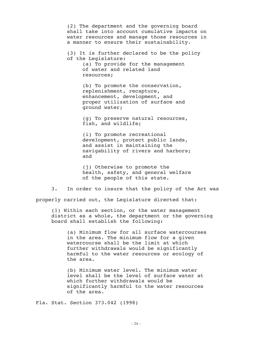(2) The department and the governing board shall take into account cumulative impacts on water resources and manage those resources in a manner to ensure their sustainability.

(3) It is further declared to be the policy of the Legislature: (a) To provide for the management of water and related land

resources;

(b) To promote the conservation, replenishment, recapture, enhancement, development, and proper utilization of surface and ground water;

(g) To preserve natural resources, fish, and wildlife;

(i) To promote recreational development, protect public lands, and assist in maintaining the navigability of rivers and harbors; and

(j) Otherwise to promote the health, safety, and general welfare of the people of this state.

3. In order to insure that the policy of the Act was properly carried out, the Legislature directed that:

(1) Within each section, or the water management district as a whole, the department or the governing board shall establish the following:

(a) Minimum flow for all surface watercourses in the area. The minimum flow for a given watercourse shall be the limit at which further withdrawals would be significantly harmful to the water resources or ecology of the area.

(b) Minimum water level. The minimum water level shall be the level of surface water at which further withdrawals would be significantly harmful to the water resources of the area.

Fla. Stat. Section 373.042 (1998)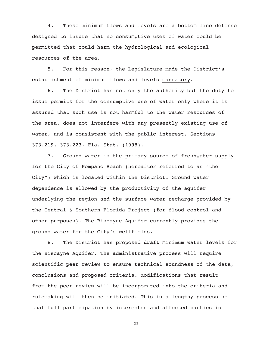4. These minimum flows and levels are a bottom line defense designed to insure that no consumptive uses of water could be permitted that could harm the hydrological and ecological resources of the area.

5. For this reason, the Legislature made the District's establishment of minimum flows and levels mandatory.

6. The District has not only the authority but the duty to issue permits for the consumptive use of water only where it is assured that such use is not harmful to the water resources of the area, does not interfere with any presently existing use of water, and is consistent with the public interest. Sections 373.219, 373.223, Fla. Stat. (1998).

7. Ground water is the primary source of freshwater supply for the City of Pompano Beach (hereafter referred to as "the City") which is located within the District. Ground water dependence is allowed by the productivity of the aquifer underlying the region and the surface water recharge provided by the Central & Southern Florida Project (for flood control and other purposes). The Biscayne Aquifer currently provides the ground water for the City's wellfields.

8. The District has proposed **draft** minimum water levels for the Biscayne Aquifer. The administrative process will require scientific peer review to ensure technical soundness of the data, conclusions and proposed criteria. Modifications that result from the peer review will be incorporated into the criteria and rulemaking will then be initiated. This is a lengthy process so that full participation by interested and affected parties is

 $-25-$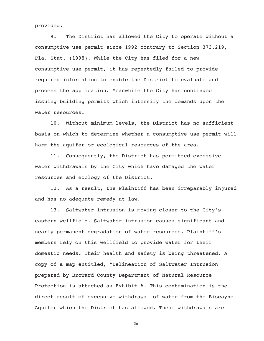provided.

9. The District has allowed the City to operate without a consumptive use permit since 1992 contrary to Section 373.219, Fla. Stat. (1998). While the City has filed for a new consumptive use permit, it has repeatedly failed to provide required information to enable the District to evaluate and process the application. Meanwhile the City has continued issuing building permits which intensify the demands upon the water resources.

10. Without minimum levels, the District has no sufficient basis on which to determine whether a consumptive use permit will harm the aquifer or ecological resources of the area.

11. Consequently, the District has permitted excessive water withdrawals by the City which have damaged the water resources and ecology of the District.

12. As a result, the Plaintiff has been irreparably injured and has no adequate remedy at law.

13. Saltwater intrusion is moving closer to the City's eastern wellfield. Saltwater intrusion causes significant and nearly permanent degradation of water resources. Plaintiff's members rely on this wellfield to provide water for their domestic needs. Their health and safety is being threatened. A copy of a map entitled, "Delineation of Saltwater Intrusion" prepared by Broward County Department of Natural Resource Protection is attached as Exhibit A. This contamination is the direct result of excessive withdrawal of water from the Biscayne Aquifer which the District has allowed. These withdrawals are

 $-26-$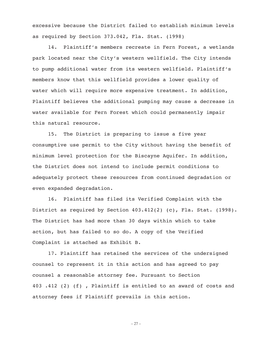excessive because the District failed to establish minimum levels as required by Section 373.042, Fla. Stat. (1998)

14. Plaintiff's members recreate in Fern Forest, a wetlands park located near the City's western wellfield. The City intends to pump additional water from its western wellfield. Plaintiff's members know that this wellfield provides a lower quality of water which will require more expensive treatment. In addition, Plaintiff believes the additional pumping may cause a decrease in water available for Fern Forest which could permanently impair this natural resource.

15. The District is preparing to issue a five year consumptive use permit to the City without having the benefit of minimum level protection for the Biscayne Aquifer. In addition, the District does not intend to include permit conditions to adequately protect these resources from continued degradation or even expanded degradation.

16. Plaintiff has filed its Verified Complaint with the District as required by Section  $403.412(2)$  (c), Fla. Stat. (1998). The District has had more than 30 days within which to take action, but has failed to so do. A copy of the Verified Complaint is attached as Exhibit B.

17. Plaintiff has retained the services of the undersigned counsel to represent it in this action and has agreed to pay counsel a reasonable attorney fee. Pursuant to Section 403 .412 (2) (f) , Plaintiff is entitled to an award of costs and attorney fees if Plaintiff prevails in this action.

– 27 –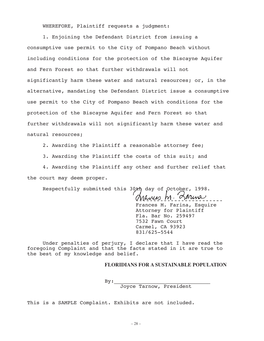WHEREFORE, Plaintiff requests a judgment:

1. Enjoining the Defendant District from issuing a consumptive use permit to the City of Pompano Beach without including conditions for the protection of the Biscayne Aquifer and Fern Forest so that further withdrawals will not significantly harm these water and natural resources; or, in the alternative, mandating the Defendant District issue a consumptive use permit to the City of Pompano Beach with conditions for the protection of the Biscayne Aquifer and Fern Forest so that further withdrawals will not significantly harm these water and natural resources;

2. Awarding the Plaintiff a reasonable attorney fee;

3. Awarding the Plaintiff the costs of this suit; and

4. Awarding the Plaintiff any other and further relief that the court may deem proper.

Respectfully submitted this 30th day of October, l998.

Sarina Manico M· Frances M. Farina, Esquire Attorney for Plaintiff Fla. Bar No. 259497 7532 Fawn Court Carmel, CA 93923 831/625-5544

Under penalties of perjury, I declare that I have read the foregoing Complaint and that the facts stated in it are true to the best of my knowledge and belief.

#### **FLORIDIANS FOR A SUSTAINABLE POPULATION**

 $By:$ 

Joyce Tarnow, President

This is a SAMPLE Complaint. Exhibits are not included.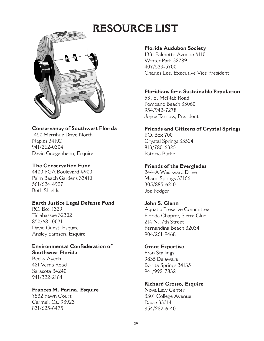## **RESOURCE LIST**



## **Conservancy of Southwest Florida**

1450 Merrihue Drive North Naples 34102 941/262-0304 David Guggenheim, Esquire

## **The Conservation Fund**

4400 PGA Boulevard #900 Palm Beach Gardens 33410 561/624-4927 Beth Shields

## **Earth Justice Legal Defense Fund**

P.O. Box 1329 Tallahassee 32302 850/681-0031 David Guest, Esquire Ansley Samson, Esquire

## **Environmental Confederation of Southwest Florida**

Becky Ayech 421 Verna Road Sarasota 34240 941/322-2164

## **Frances M. Farina, Esquire**

7532 Fawn Court Carmel, Ca. 93923 831/625-6475

## **Florida Audubon Society**

1331 Palmetto Avenue #110 Winter Park 32789 407/539-5700 Charles Lee, Executive Vice President

## **Floridians for a Sustainable Population**

531 E. McNab Road Pompano Beach 33060 954/942-7278 Joyce Tarnow, President

## **Friends and Citizens of Crystal Springs**

P.O. Box 700 Crystal Springs 33524 813/780-6325 Patricia Burke

## **Friends of the Everglades**

244-A Westward Drive Miami Springs 33166 305/885-6210 Joe Podgor

## **John S. Glenn**

Aquatic Preserve Committee Florida Chapter, Sierra Club 214 N. l7th Street Fernandina Beach 32034 904/261-9468

## **Grant Expertise**

Fran Stallings 9835 Delaware Bonita Springs 34135 941/992-7832

## **Richard Grosso, Esquire**

Nova Law Center 3301 College Avenue Davie 33314 954/262-6140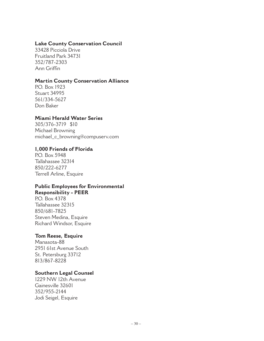### **Lake County Conservation Council**

33428 Picciola Drive Fruitland Park 34731 352/787-2303 Ann Griffin

## **Martin County Conservation Alliance**

P.O. Box 1923 Stuart 34995 561/334-5627 Don Baker

### **Miami Herald Water Series**

305/376-3719 \$10 Michael Browning michael\_c\_browning@compuserv.com

### **1,000 Friends of Florida**

P.O. Box 5948 Tallahassee 32314 850/222-6277 Terrell Arline, Esquire

## **Public Employees for Environmental Responsibility - PEER**

P.O. Box 4378 Tallahassee 32315 850/681-7825 Steven Medina, Esquire Richard Windsor, Esquire

## **Tom Reese, Esquire**

Manasota-88 2951 61st Avenue South St. Petersburg 33712 813/867-8228

## **Southern Legal Counsel**

1229 NW 12th Avenue Gainesville 32601 352/955-2144 Jodi Seigel, Esquire